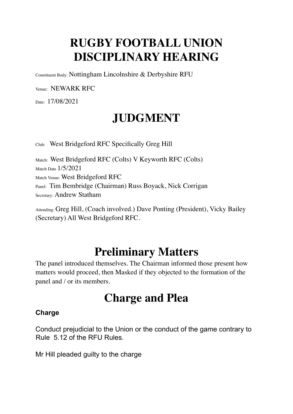## **RUGBY FOOTBALL UNION DISCIPLINARY HEARING**

Constituent Body: Nottingham Lincolnshire & Derbyshire RFU

Venue:. NEWARK RFC

Date: 17/08/2021

## **JUDGMENT**

Club: West Bridgeford RFC Specifically Greg Hill

Match: West Bridgeford RFC (Colts) V Keyworth RFC (Colts). Match Date 1/5/2021 Match Venue: West Bridgeford RFC Panel: Tim Bembridge (Chairman) Russ Boyack, Nick Corrigan Secretary: Andrew Statham

Attending: Greg Hill, (Coach involved.) Dave Ponting (President), Vicky Bailey (Secretary) All West Bridgeford RFC.

#### **Preliminary Matters**

The panel introduced themselves. The Chairman informed those present how matters would proceed, then Masked if they objected to the formation of the panel and / or its members.

#### **Charge and Plea**

#### **Charge**

Conduct prejudicial to the Union or the conduct of the game contrary to Rule 5.12 of the RFU Rules.

Mr Hill pleaded guilty to the charge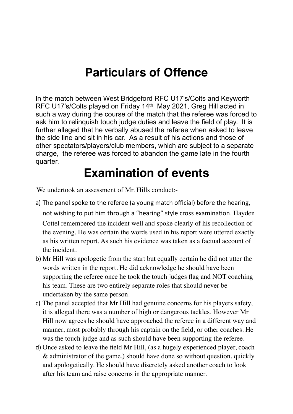#### **Particulars of Offence**

In the match between West Bridgeford RFC U17's/Colts and Keyworth RFC U17's/Colts played on Friday 14th May 2021, Greg Hill acted in such a way during the course of the match that the referee was forced to ask him to relinquish touch judge duties and leave the field of play. It is further alleged that he verbally abused the referee when asked to leave the side line and sit in his car. As a result of his actions and those of other spectators/players/club members, which are subject to a separate charge, the referee was forced to abandon the game late in the fourth quarter.

#### **Examination of events**

We undertook an assessment of Mr. Hills conduct:-

- a) The panel spoke to the referee (a young match official) before the hearing, not wishing to put him through a "hearing" style cross examination. Hayden Cottel remembered the incident well and spoke clearly of his recollection of the evening. He was certain the words used in his report were uttered exactly as his written report. As such his evidence was taken as a factual account of the incident.
- b) Mr Hill was apologetic from the start but equally certain he did not utter the words written in the report. He did acknowledge he should have been supporting the referee once he took the touch judges flag and NOT coaching his team. These are two entirely separate roles that should never be undertaken by the same person.
- c) The panel accepted that Mr Hill had genuine concerns for his players safety, it is alleged there was a number of high or dangerous tackles. However Mr Hill now agrees he should have approached the referee in a different way and manner, most probably through his captain on the field, or other coaches. He was the touch judge and as such should have been supporting the referee.
- d) Once asked to leave the field Mr Hill, (as a hugely experienced player, coach & administrator of the game,) should have done so without question, quickly and apologetically. He should have discretely asked another coach to look after his team and raise concerns in the appropriate manner.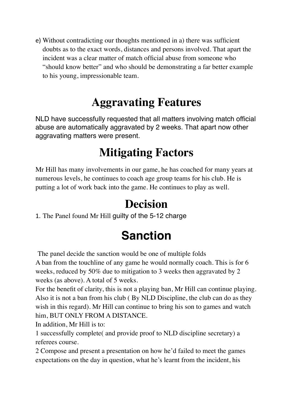e) Without contradicting our thoughts mentioned in a) there was sufficient doubts as to the exact words, distances and persons involved. That apart the incident was a clear matter of match official abuse from someone who "should know better" and who should be demonstrating a far better example to his young, impressionable team.

## **Aggravating Features**

NLD have successfully requested that all matters involving match official abuse are automatically aggravated by 2 weeks. That apart now other aggravating matters were present.

#### **Mitigating Factors**

Mr Hill has many involvements in our game, he has coached for many years at numerous levels, he continues to coach age group teams for his club. He is putting a lot of work back into the game. He continues to play as well.

#### **Decision**

1. The Panel found Mr Hill guilty of the 5-12 charge

# **Sanction**

The panel decide the sanction would be one of multiple folds

A ban from the touchline of any game he would normally coach. This is for 6 weeks, reduced by 50% due to mitigation to 3 weeks then aggravated by 2 weeks (as above). A total of 5 weeks.

For the benefit of clarity, this is not a playing ban, Mr Hill can continue playing. Also it is not a ban from his club ( By NLD Discipline, the club can do as they wish in this regard). Mr Hill can continue to bring his son to games and watch him, BUT ONLY FROM A DISTANCE.

In addition, Mr Hill is to:

1 successfully complete( and provide proof to NLD discipline secretary) a referees course.

2 Compose and present a presentation on how he'd failed to meet the games expectations on the day in question, what he's learnt from the incident, his